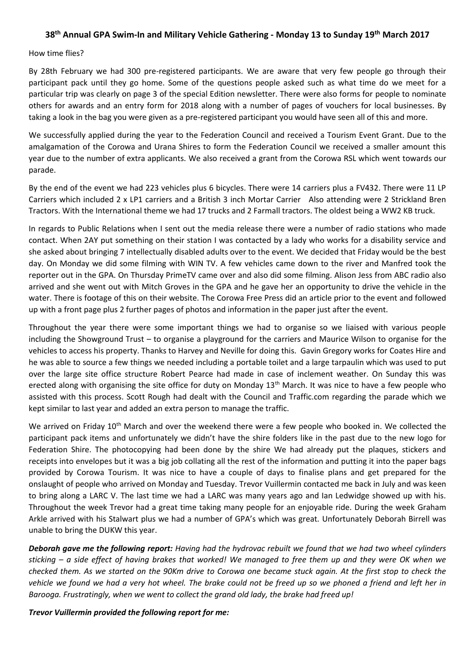## **38th Annual GPA Swim-In and Military Vehicle Gathering - Monday 13 to Sunday 19th March 2017**

#### How time flies?

By 28th February we had 300 pre-registered participants. We are aware that very few people go through their participant pack until they go home. Some of the questions people asked such as what time do we meet for a particular trip was clearly on page 3 of the special Edition newsletter. There were also forms for people to nominate others for awards and an entry form for 2018 along with a number of pages of vouchers for local businesses. By taking a look in the bag you were given as a pre-registered participant you would have seen all of this and more.

We successfully applied during the year to the Federation Council and received a Tourism Event Grant. Due to the amalgamation of the Corowa and Urana Shires to form the Federation Council we received a smaller amount this year due to the number of extra applicants. We also received a grant from the Corowa RSL which went towards our parade.

By the end of the event we had 223 vehicles plus 6 bicycles. There were 14 carriers plus a FV432. There were 11 LP Carriers which included 2 x LP1 carriers and a British 3 inch Mortar Carrier Also attending were 2 Strickland Bren Tractors. With the International theme we had 17 trucks and 2 Farmall tractors. The oldest being a WW2 KB truck.

In regards to Public Relations when I sent out the media release there were a number of radio stations who made contact. When 2AY put something on their station I was contacted by a lady who works for a disability service and she asked about bringing 7 intellectually disabled adults over to the event. We decided that Friday would be the best day. On Monday we did some filming with WIN TV. A few vehicles came down to the river and Manfred took the reporter out in the GPA. On Thursday PrimeTV came over and also did some filming. Alison Jess from ABC radio also arrived and she went out with Mitch Groves in the GPA and he gave her an opportunity to drive the vehicle in the water. There is footage of this on their website. The Corowa Free Press did an article prior to the event and followed up with a front page plus 2 further pages of photos and information in the paper just after the event.

Throughout the year there were some important things we had to organise so we liaised with various people including the Showground Trust – to organise a playground for the carriers and Maurice Wilson to organise for the vehicles to access his property. Thanks to Harvey and Neville for doing this. Gavin Gregory works for Coates Hire and he was able to source a few things we needed including a portable toilet and a large tarpaulin which was used to put over the large site office structure Robert Pearce had made in case of inclement weather. On Sunday this was erected along with organising the site office for duty on Monday 13<sup>th</sup> March. It was nice to have a few people who assisted with this process. Scott Rough had dealt with the Council and Traffic.com regarding the parade which we kept similar to last year and added an extra person to manage the traffic.

We arrived on Friday 10<sup>th</sup> March and over the weekend there were a few people who booked in. We collected the participant pack items and unfortunately we didn't have the shire folders like in the past due to the new logo for Federation Shire. The photocopying had been done by the shire We had already put the plaques, stickers and receipts into envelopes but it was a big job collating all the rest of the information and putting it into the paper bags provided by Corowa Tourism. It was nice to have a couple of days to finalise plans and get prepared for the onslaught of people who arrived on Monday and Tuesday. Trevor Vuillermin contacted me back in July and was keen to bring along a LARC V. The last time we had a LARC was many years ago and Ian Ledwidge showed up with his. Throughout the week Trevor had a great time taking many people for an enjoyable ride. During the week Graham Arkle arrived with his Stalwart plus we had a number of GPA's which was great. Unfortunately Deborah Birrell was unable to bring the DUKW this year.

*Deborah gave me the following report: Having had the hydrovac rebuilt we found that we had two wheel cylinders sticking – a side effect of having brakes that worked! We managed to free them up and they were OK when we checked them. As we started on the 90Km drive to Corowa one became stuck again. At the first stop to check the vehicle we found we had a very hot wheel. The brake could not be freed up so we phoned a friend and left her in Barooga. Frustratingly, when we went to collect the grand old lady, the brake had freed up!*

*Trevor Vuillermin provided the following report for me:*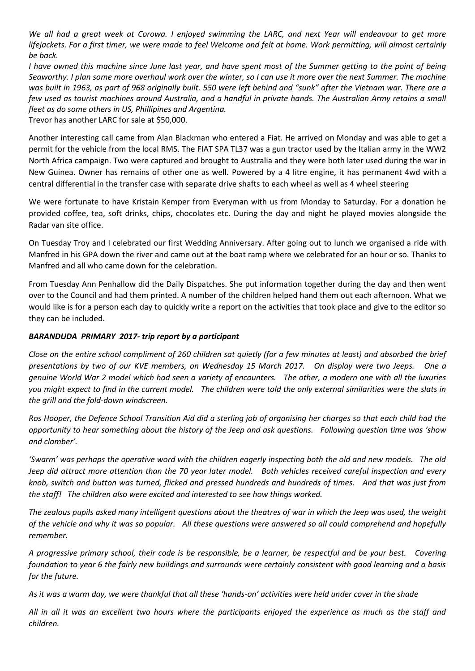*We all had a great week at Corowa. I enjoyed swimming the LARC, and next Year will endeavour to get more lifejackets. For a first timer, we were made to feel Welcome and felt at home. Work permitting, will almost certainly be back.*

*I have owned this machine since June last year, and have spent most of the Summer getting to the point of being Seaworthy. I plan some more overhaul work over the winter, so I can use it more over the next Summer. The machine was built in 1963, as part of 968 originally built. 550 were left behind and "sunk" after the Vietnam war. There are a few used as tourist machines around Australia, and a handful in private hands. The Australian Army retains a small fleet as do some others in US, Phillipines and Argentina.*

Trevor has another LARC for sale at \$50,000.

Another interesting call came from Alan Blackman who entered a Fiat. He arrived on Monday and was able to get a permit for the vehicle from the local RMS. The FIAT SPA TL37 was a gun tractor used by the Italian army in the WW2 North Africa campaign. Two were captured and brought to Australia and they were both later used during the war in New Guinea. Owner has remains of other one as well. Powered by a 4 litre engine, it has permanent 4wd with a central differential in the transfer case with separate drive shafts to each wheel as well as 4 wheel steering

We were fortunate to have Kristain Kemper from Everyman with us from Monday to Saturday. For a donation he provided coffee, tea, soft drinks, chips, chocolates etc. During the day and night he played movies alongside the Radar van site office.

On Tuesday Troy and I celebrated our first Wedding Anniversary. After going out to lunch we organised a ride with Manfred in his GPA down the river and came out at the boat ramp where we celebrated for an hour or so. Thanks to Manfred and all who came down for the celebration.

From Tuesday Ann Penhallow did the Daily Dispatches. She put information together during the day and then went over to the Council and had them printed. A number of the children helped hand them out each afternoon. What we would like is for a person each day to quickly write a report on the activities that took place and give to the editor so they can be included.

#### *BARANDUDA PRIMARY 2017- trip report by a participant*

*Close on the entire school compliment of 260 children sat quietly (for a few minutes at least) and absorbed the brief presentations by two of our KVE members, on Wednesday 15 March 2017. On display were two Jeeps. One a genuine World War 2 model which had seen a variety of encounters. The other, a modern one with all the luxuries you might expect to find in the current model. The children were told the only external similarities were the slats in the grill and the fold-down windscreen.*

*Ros Hooper, the Defence School Transition Aid did a sterling job of organising her charges so that each child had the opportunity to hear something about the history of the Jeep and ask questions. Following question time was 'show and clamber'.*

*'Swarm' was perhaps the operative word with the children eagerly inspecting both the old and new models. The old Jeep did attract more attention than the 70 year later model. Both vehicles received careful inspection and every knob, switch and button was turned, flicked and pressed hundreds and hundreds of times. And that was just from the staff! The children also were excited and interested to see how things worked.*

*The zealous pupils asked many intelligent questions about the theatres of war in which the Jeep was used, the weight of the vehicle and why it was so popular. All these questions were answered so all could comprehend and hopefully remember.*

*A progressive primary school, their code is be responsible, be a learner, be respectful and be your best. Covering foundation to year 6 the fairly new buildings and surrounds were certainly consistent with good learning and a basis for the future.*

*As it was a warm day, we were thankful that all these 'hands-on' activities were held under cover in the shade*

*All in all it was an excellent two hours where the participants enjoyed the experience as much as the staff and children.*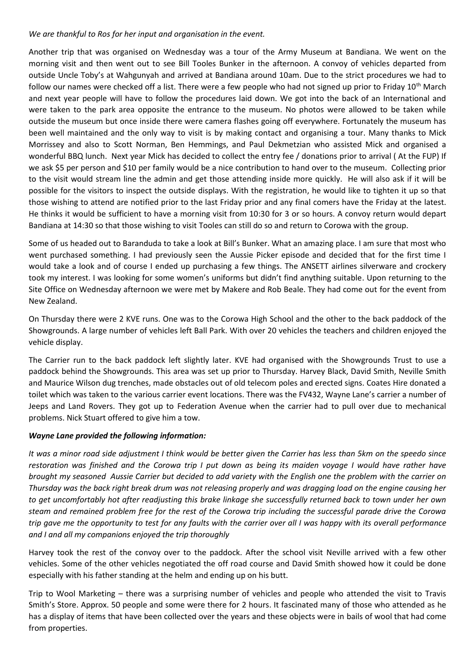#### *We are thankful to Ros for her input and organisation in the event.*

Another trip that was organised on Wednesday was a tour of the Army Museum at Bandiana. We went on the morning visit and then went out to see Bill Tooles Bunker in the afternoon. A convoy of vehicles departed from outside Uncle Toby's at Wahgunyah and arrived at Bandiana around 10am. Due to the strict procedures we had to follow our names were checked off a list. There were a few people who had not signed up prior to Friday 10<sup>th</sup> March and next year people will have to follow the procedures laid down. We got into the back of an International and were taken to the park area opposite the entrance to the museum. No photos were allowed to be taken while outside the museum but once inside there were camera flashes going off everywhere. Fortunately the museum has been well maintained and the only way to visit is by making contact and organising a tour. Many thanks to Mick Morrissey and also to Scott Norman, Ben Hemmings, and Paul Dekmetzian who assisted Mick and organised a wonderful BBQ lunch. Next year Mick has decided to collect the entry fee / donations prior to arrival ( At the FUP) If we ask \$5 per person and \$10 per family would be a nice contribution to hand over to the museum. Collecting prior to the visit would stream line the admin and get those attending inside more quickly. He will also ask if it will be possible for the visitors to inspect the outside displays. With the registration, he would like to tighten it up so that those wishing to attend are notified prior to the last Friday prior and any final comers have the Friday at the latest. He thinks it would be sufficient to have a morning visit from 10:30 for 3 or so hours. A convoy return would depart Bandiana at 14:30 so that those wishing to visit Tooles can still do so and return to Corowa with the group.

Some of us headed out to Baranduda to take a look at Bill's Bunker. What an amazing place. I am sure that most who went purchased something. I had previously seen the Aussie Picker episode and decided that for the first time I would take a look and of course I ended up purchasing a few things. The ANSETT airlines silverware and crockery took my interest. I was looking for some women's uniforms but didn't find anything suitable. Upon returning to the Site Office on Wednesday afternoon we were met by Makere and Rob Beale. They had come out for the event from New Zealand.

On Thursday there were 2 KVE runs. One was to the Corowa High School and the other to the back paddock of the Showgrounds. A large number of vehicles left Ball Park. With over 20 vehicles the teachers and children enjoyed the vehicle display.

The Carrier run to the back paddock left slightly later. KVE had organised with the Showgrounds Trust to use a paddock behind the Showgrounds. This area was set up prior to Thursday. Harvey Black, David Smith, Neville Smith and Maurice Wilson dug trenches, made obstacles out of old telecom poles and erected signs. Coates Hire donated a toilet which was taken to the various carrier event locations. There was the FV432, Wayne Lane's carrier a number of Jeeps and Land Rovers. They got up to Federation Avenue when the carrier had to pull over due to mechanical problems. Nick Stuart offered to give him a tow.

# *Wayne Lane provided the following information:*

*It was a minor road side adjustment I think would be better given the Carrier has less than 5km on the speedo since restoration was finished and the Corowa trip I put down as being its maiden voyage I would have rather have brought my seasoned Aussie Carrier but decided to add variety with the English one the problem with the carrier on Thursday was the back right break drum was not releasing properly and was dragging load on the engine causing her to get uncomfortably hot after readjusting this brake linkage she successfully returned back to town under her own steam and remained problem free for the rest of the Corowa trip including the successful parade drive the Corowa trip gave me the opportunity to test for any faults with the carrier over all I was happy with its overall performance and I and all my companions enjoyed the trip thoroughly*

Harvey took the rest of the convoy over to the paddock. After the school visit Neville arrived with a few other vehicles. Some of the other vehicles negotiated the off road course and David Smith showed how it could be done especially with his father standing at the helm and ending up on his butt.

Trip to Wool Marketing – there was a surprising number of vehicles and people who attended the visit to Travis Smith's Store. Approx. 50 people and some were there for 2 hours. It fascinated many of those who attended as he has a display of items that have been collected over the years and these objects were in bails of wool that had come from properties.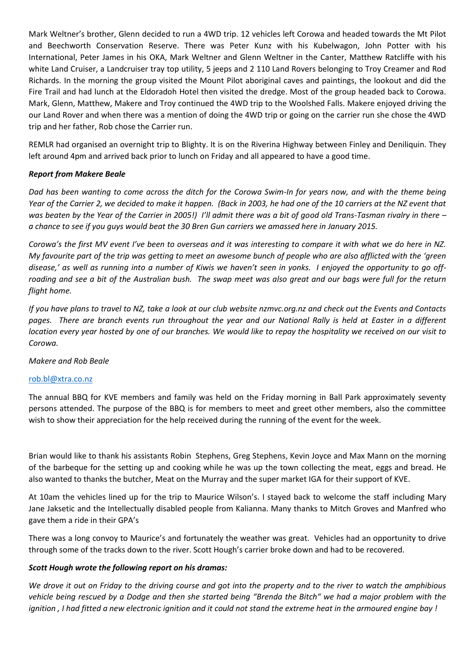Mark Weltner's brother, Glenn decided to run a 4WD trip. 12 vehicles left Corowa and headed towards the Mt Pilot and Beechworth Conservation Reserve. There was Peter Kunz with his Kubelwagon, John Potter with his International, Peter James in his OKA, Mark Weltner and Glenn Weltner in the Canter, Matthew Ratcliffe with his white Land Cruiser, a Landcruiser tray top utility, 5 jeeps and 2 110 Land Rovers belonging to Troy Creamer and Rod Richards. In the morning the group visited the Mount Pilot aboriginal caves and paintings, the lookout and did the Fire Trail and had lunch at the Eldoradoh Hotel then visited the dredge. Most of the group headed back to Corowa. Mark, Glenn, Matthew, Makere and Troy continued the 4WD trip to the Woolshed Falls. Makere enjoyed driving the our Land Rover and when there was a mention of doing the 4WD trip or going on the carrier run she chose the 4WD trip and her father, Rob chose the Carrier run.

REMLR had organised an overnight trip to Blighty. It is on the Riverina Highway between Finley and Deniliquin. They left around 4pm and arrived back prior to lunch on Friday and all appeared to have a good time.

## *Report from Makere Beale*

*Dad has been wanting to come across the ditch for the Corowa Swim-In for years now, and with the theme being Year of the Carrier 2, we decided to make it happen. (Back in 2003, he had one of the 10 carriers at the NZ event that was beaten by the Year of the Carrier in 2005!) I'll admit there was a bit of good old Trans-Tasman rivalry in there – a chance to see if you guys would beat the 30 Bren Gun carriers we amassed here in January 2015.* 

*Corowa's the first MV event I've been to overseas and it was interesting to compare it with what we do here in NZ. My favourite part of the trip was getting to meet an awesome bunch of people who are also afflicted with the 'green disease,' as well as running into a number of Kiwis we haven't seen in yonks. I enjoyed the opportunity to go offroading and see a bit of the Australian bush. The swap meet was also great and our bags were full for the return flight home.* 

*If you have plans to travel to NZ, take a look at our club website nzmvc.org.nz and check out the Events and Contacts pages. There are branch events run throughout the year and our National Rally is held at Easter in a different location every year hosted by one of our branches. We would like to repay the hospitality we received on our visit to Corowa.*

#### *Makere and Rob Beale*

#### [rob.bl@xtra.co.nz](mailto:rob.bl@xtra.co.nz)

The annual BBQ for KVE members and family was held on the Friday morning in Ball Park approximately seventy persons attended. The purpose of the BBQ is for members to meet and greet other members, also the committee wish to show their appreciation for the help received during the running of the event for the week.

Brian would like to thank his assistants Robin Stephens, Greg Stephens, Kevin Joyce and Max Mann on the morning of the barbeque for the setting up and cooking while he was up the town collecting the meat, eggs and bread. He also wanted to thanks the butcher, Meat on the Murray and the super market IGA for their support of KVE.

At 10am the vehicles lined up for the trip to Maurice Wilson's. I stayed back to welcome the staff including Mary Jane Jaksetic and the Intellectually disabled people from Kalianna. Many thanks to Mitch Groves and Manfred who gave them a ride in their GPA's

There was a long convoy to Maurice's and fortunately the weather was great. Vehicles had an opportunity to drive through some of the tracks down to the river. Scott Hough's carrier broke down and had to be recovered.

#### *Scott Hough wrote the following report on his dramas:*

*We drove it out on Friday to the driving course and got into the property and to the river to watch the amphibious vehicle being rescued by a Dodge and then she started being "Brenda the Bitch" we had a major problem with the ignition , I had fitted a new electronic ignition and it could not stand the extreme heat in the armoured engine bay !*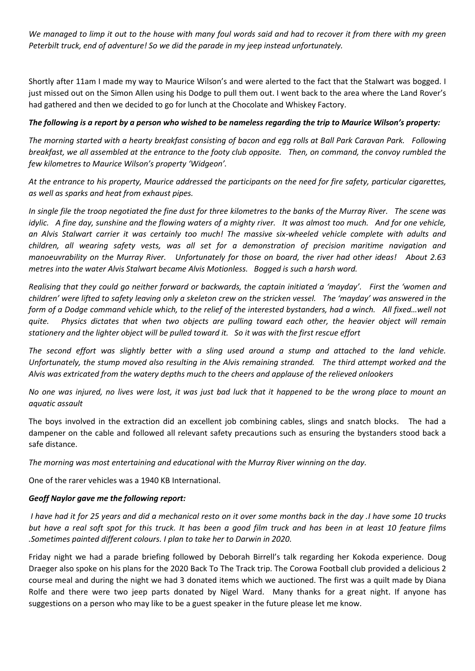*We managed to limp it out to the house with many foul words said and had to recover it from there with my green Peterbilt truck, end of adventure! So we did the parade in my jeep instead unfortunately.*

Shortly after 11am I made my way to Maurice Wilson's and were alerted to the fact that the Stalwart was bogged. I just missed out on the Simon Allen using his Dodge to pull them out. I went back to the area where the Land Rover's had gathered and then we decided to go for lunch at the Chocolate and Whiskey Factory.

## *The following is a report by a person who wished to be nameless regarding the trip to Maurice Wilson's property:*

*The morning started with a hearty breakfast consisting of bacon and egg rolls at Ball Park Caravan Park. Following breakfast, we all assembled at the entrance to the footy club opposite. Then, on command, the convoy rumbled the few kilometres to Maurice Wilson's property 'Widgeon'.*

*At the entrance to his property, Maurice addressed the participants on the need for fire safety, particular cigarettes, as well as sparks and heat from exhaust pipes.*

*In single file the troop negotiated the fine dust for three kilometres to the banks of the Murray River. The scene was idylic.* A fine day, sunshine and the flowing waters of a mighty river. It was almost too much. And for one vehicle, *an Alvis Stalwart carrier it was certainly too much! The massive six-wheeled vehicle complete with adults and children, all wearing safety vests, was all set for a demonstration of precision maritime navigation and manoeuvrability on the Murray River. Unfortunately for those on board, the river had other ideas! About 2.63 metres into the water Alvis Stalwart became Alvis Motionless. Bogged is such a harsh word.* 

*Realising that they could go neither forward or backwards, the captain initiated a 'mayday'. First the 'women and children' were lifted to safety leaving only a skeleton crew on the stricken vessel. The 'mayday' was answered in the form of a Dodge command vehicle which, to the relief of the interested bystanders, had a winch. All fixed…well not quite. Physics dictates that when two objects are pulling toward each other, the heavier object will remain stationery and the lighter object will be pulled toward it. So it was with the first rescue effort*

*The second effort was slightly better with a sling used around a stump and attached to the land vehicle. Unfortunately, the stump moved also resulting in the Alvis remaining stranded. The third attempt worked and the Alvis was extricated from the watery depths much to the cheers and applause of the relieved onlookers*

*No one was injured, no lives were lost, it was just bad luck that it happened to be the wrong place to mount an aquatic assault*

The boys involved in the extraction did an excellent job combining cables, slings and snatch blocks. The had a dampener on the cable and followed all relevant safety precautions such as ensuring the bystanders stood back a safe distance.

*The morning was most entertaining and educational with the Murray River winning on the day.*

One of the rarer vehicles was a 1940 KB International.

# *Geoff Naylor gave me the following report:*

*I have had it for 25 years and did a mechanical resto on it over some months back in the day .I have some 10 trucks but have a real soft spot for this truck. It has been a good film truck and has been in at least 10 feature films .Sometimes painted different colours. I plan to take her to Darwin in 2020.* 

Friday night we had a parade briefing followed by Deborah Birrell's talk regarding her Kokoda experience. Doug Draeger also spoke on his plans for the 2020 Back To The Track trip. The Corowa Football club provided a delicious 2 course meal and during the night we had 3 donated items which we auctioned. The first was a quilt made by Diana Rolfe and there were two jeep parts donated by Nigel Ward. Many thanks for a great night. If anyone has suggestions on a person who may like to be a guest speaker in the future please let me know.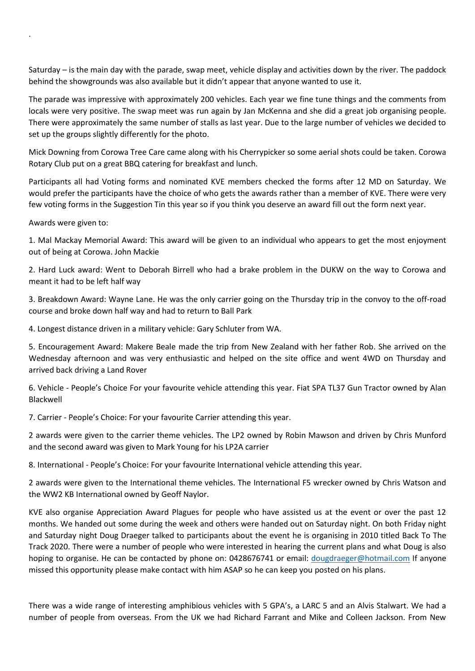Saturday – is the main day with the parade, swap meet, vehicle display and activities down by the river. The paddock behind the showgrounds was also available but it didn't appear that anyone wanted to use it.

The parade was impressive with approximately 200 vehicles. Each year we fine tune things and the comments from locals were very positive. The swap meet was run again by Jan McKenna and she did a great job organising people. There were approximately the same number of stalls as last year. Due to the large number of vehicles we decided to set up the groups slightly differently for the photo.

Mick Downing from Corowa Tree Care came along with his Cherrypicker so some aerial shots could be taken. Corowa Rotary Club put on a great BBQ catering for breakfast and lunch.

Participants all had Voting forms and nominated KVE members checked the forms after 12 MD on Saturday. We would prefer the participants have the choice of who gets the awards rather than a member of KVE. There were very few voting forms in the Suggestion Tin this year so if you think you deserve an award fill out the form next year.

Awards were given to:

.

1. Mal Mackay Memorial Award: This award will be given to an individual who appears to get the most enjoyment out of being at Corowa. John Mackie

2. Hard Luck award: Went to Deborah Birrell who had a brake problem in the DUKW on the way to Corowa and meant it had to be left half way

3. Breakdown Award: Wayne Lane. He was the only carrier going on the Thursday trip in the convoy to the off-road course and broke down half way and had to return to Ball Park

4. Longest distance driven in a military vehicle: Gary Schluter from WA.

5. Encouragement Award: Makere Beale made the trip from New Zealand with her father Rob. She arrived on the Wednesday afternoon and was very enthusiastic and helped on the site office and went 4WD on Thursday and arrived back driving a Land Rover

6. Vehicle - People's Choice For your favourite vehicle attending this year. Fiat SPA TL37 Gun Tractor owned by Alan Blackwell

7. Carrier - People's Choice: For your favourite Carrier attending this year.

2 awards were given to the carrier theme vehicles. The LP2 owned by Robin Mawson and driven by Chris Munford and the second award was given to Mark Young for his LP2A carrier

8. International - People's Choice: For your favourite International vehicle attending this year.

2 awards were given to the International theme vehicles. The International F5 wrecker owned by Chris Watson and the WW2 KB International owned by Geoff Naylor.

KVE also organise Appreciation Award Plagues for people who have assisted us at the event or over the past 12 months. We handed out some during the week and others were handed out on Saturday night. On both Friday night and Saturday night Doug Draeger talked to participants about the event he is organising in 2010 titled Back To The Track 2020. There were a number of people who were interested in hearing the current plans and what Doug is also hoping to organise. He can be contacted by phone on: 0428676741 or email: [dougdraeger@hotmail.com](mailto:dougdraeger@hotmail.com) If anyone missed this opportunity please make contact with him ASAP so he can keep you posted on his plans.

There was a wide range of interesting amphibious vehicles with 5 GPA's, a LARC 5 and an Alvis Stalwart. We had a number of people from overseas. From the UK we had Richard Farrant and Mike and Colleen Jackson. From New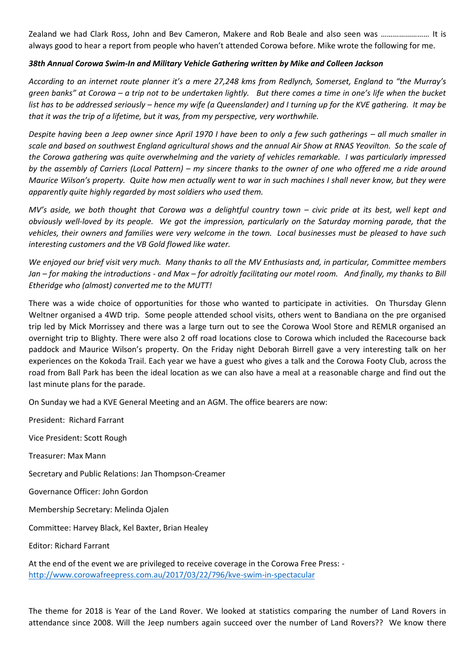Zealand we had Clark Ross, John and Bev Cameron, Makere and Rob Beale and also seen was …………………… It is always good to hear a report from people who haven't attended Corowa before. Mike wrote the following for me.

# *38th Annual Corowa Swim-In and Military Vehicle Gathering written by Mike and Colleen Jackson*

*According to an internet route planner it's a mere 27,248 kms from Redlynch, Somerset, England to "the Murray's green banks" at Corowa – a trip not to be undertaken lightly. But there comes a time in one's life when the bucket list has to be addressed seriously – hence my wife (a Queenslander) and I turning up for the KVE gathering. It may be that it was the trip of a lifetime, but it was, from my perspective, very worthwhile.* 

*Despite having been a Jeep owner since April 1970 I have been to only a few such gatherings – all much smaller in scale and based on southwest England agricultural shows and the annual Air Show at RNAS Yeovilton. So the scale of the Corowa gathering was quite overwhelming and the variety of vehicles remarkable. I was particularly impressed by the assembly of Carriers (Local Pattern) – my sincere thanks to the owner of one who offered me a ride around Maurice Wilson's property. Quite how men actually went to war in such machines I shall never know, but they were apparently quite highly regarded by most soldiers who used them.*

*MV*'s aside, we both thought that Corowa was a delightful country town – civic pride at its best, well kept and *obviously well-loved by its people. We got the impression, particularly on the Saturday morning parade, that the vehicles, their owners and families were very welcome in the town. Local businesses must be pleased to have such interesting customers and the VB Gold flowed like water.*

*We enjoyed our brief visit very much. Many thanks to all the MV Enthusiasts and, in particular, Committee members Jan – for making the introductions - and Max – for adroitly facilitating our motel room. And finally, my thanks to Bill Etheridge who (almost) converted me to the MUTT!*

There was a wide choice of opportunities for those who wanted to participate in activities. On Thursday Glenn Weltner organised a 4WD trip. Some people attended school visits, others went to Bandiana on the pre organised trip led by Mick Morrissey and there was a large turn out to see the Corowa Wool Store and REMLR organised an overnight trip to Blighty. There were also 2 off road locations close to Corowa which included the Racecourse back paddock and Maurice Wilson's property. On the Friday night Deborah Birrell gave a very interesting talk on her experiences on the Kokoda Trail. Each year we have a guest who gives a talk and the Corowa Footy Club, across the road from Ball Park has been the ideal location as we can also have a meal at a reasonable charge and find out the last minute plans for the parade.

On Sunday we had a KVE General Meeting and an AGM. The office bearers are now:

President: Richard Farrant Vice President: Scott Rough Treasurer: Max Mann Secretary and Public Relations: Jan Thompson-Creamer Governance Officer: John Gordon Membership Secretary: Melinda Ojalen Committee: Harvey Black, Kel Baxter, Brian Healey Editor: Richard Farrant At the end of the event we are privileged to receive coverage in the Corowa Free Press: -

<http://www.corowafreepress.com.au/2017/03/22/796/kve-swim-in-spectacular>

The theme for 2018 is Year of the Land Rover. We looked at statistics comparing the number of Land Rovers in attendance since 2008. Will the Jeep numbers again succeed over the number of Land Rovers?? We know there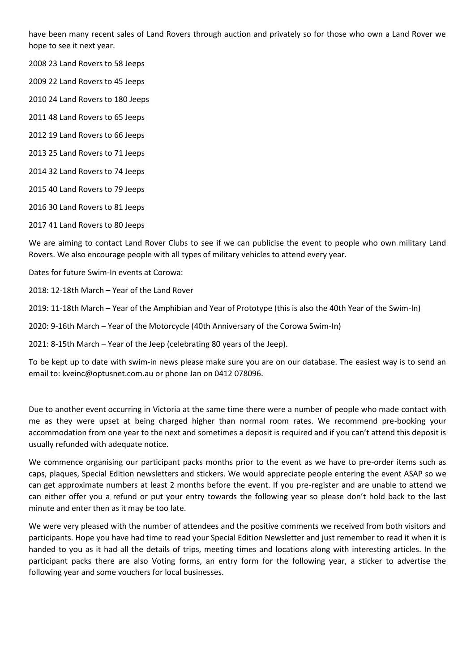have been many recent sales of Land Rovers through auction and privately so for those who own a Land Rover we hope to see it next year.

- 2008 23 Land Rovers to 58 Jeeps
- 2009 22 Land Rovers to 45 Jeeps
- 2010 24 Land Rovers to 180 Jeeps
- 2011 48 Land Rovers to 65 Jeeps
- 2012 19 Land Rovers to 66 Jeeps
- 2013 25 Land Rovers to 71 Jeeps
- 2014 32 Land Rovers to 74 Jeeps
- 2015 40 Land Rovers to 79 Jeeps
- 2016 30 Land Rovers to 81 Jeeps
- 2017 41 Land Rovers to 80 Jeeps

We are aiming to contact Land Rover Clubs to see if we can publicise the event to people who own military Land Rovers. We also encourage people with all types of military vehicles to attend every year.

Dates for future Swim-In events at Corowa:

2018: 12-18th March – Year of the Land Rover

2019: 11-18th March – Year of the Amphibian and Year of Prototype (this is also the 40th Year of the Swim-In)

2020: 9-16th March – Year of the Motorcycle (40th Anniversary of the Corowa Swim-In)

2021: 8-15th March – Year of the Jeep (celebrating 80 years of the Jeep).

To be kept up to date with swim-in news please make sure you are on our database. The easiest way is to send an email to: kveinc@optusnet.com.au or phone Jan on 0412 078096.

Due to another event occurring in Victoria at the same time there were a number of people who made contact with me as they were upset at being charged higher than normal room rates. We recommend pre-booking your accommodation from one year to the next and sometimes a deposit is required and if you can't attend this deposit is usually refunded with adequate notice.

We commence organising our participant packs months prior to the event as we have to pre-order items such as caps, plaques, Special Edition newsletters and stickers. We would appreciate people entering the event ASAP so we can get approximate numbers at least 2 months before the event. If you pre-register and are unable to attend we can either offer you a refund or put your entry towards the following year so please don't hold back to the last minute and enter then as it may be too late.

We were very pleased with the number of attendees and the positive comments we received from both visitors and participants. Hope you have had time to read your Special Edition Newsletter and just remember to read it when it is handed to you as it had all the details of trips, meeting times and locations along with interesting articles. In the participant packs there are also Voting forms, an entry form for the following year, a sticker to advertise the following year and some vouchers for local businesses.